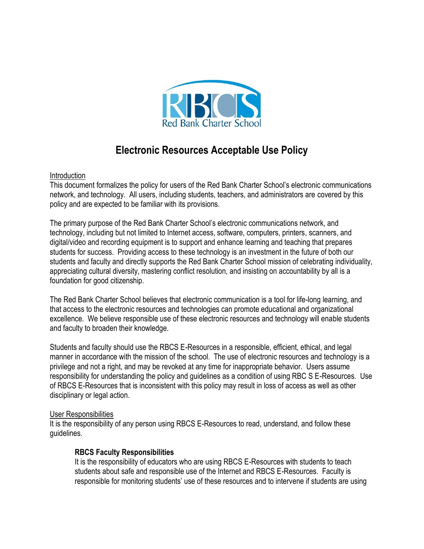

# **Electronic Resources Acceptable Use Policy**

#### Introduction

This document formalizes the policy for users of the Red Bank Charter School's electronic communications network, and technology. All users, including students, teachers, and administrators are covered by this policy and are expected to be familiar with its provisions.

The primary purpose of the Red Bank Charter School's electronic communications network, and technology, including but not limited to Internet access, software, computers, printers, scanners, and digital/video and recording equipment is to support and enhance learning and teaching that prepares students for success. Providing access to these technology is an investment in the future of both our students and faculty and directly supports the Red Bank Charter School mission of celebrating individuality, appreciating cultural diversity, mastering conflict resolution, and insisting on accountability by all is a foundation for good citizenship.

The Red Bank Charter School believes that electronic communication is a tool for life-long learning, and that access to the electronic resources and technologies can promote educational and organizational excellence. We believe responsible use of these electronic resources and technology will enable students and faculty to broaden their knowledge.

Students and faculty should use the RBCS E-Resources in a responsible, efficient, ethical, and legal manner in accordance with the mission of the school. The use of electronic resources and technology is a privilege and not a right, and may be revoked at any time for inappropriate behavior. Users assume responsibility for understanding the policy and guidelines as a condition of using RBC S E-Resources. Use of RBCS E-Resources that is inconsistent with this policy may result in loss of access as well as other disciplinary or legal action.

#### User Responsibilities

It is the responsibility of any person using RBCS E-Resources to read, understand, and follow these guidelines.

# **RBCS Faculty Responsibilities**

It is the responsibility of educators who are using RBCS E-Resources with students to teach students about safe and responsible use of the Internet and RBCS E-Resources. Faculty is responsible for monitoring students' use of these resources and to intervene if students are using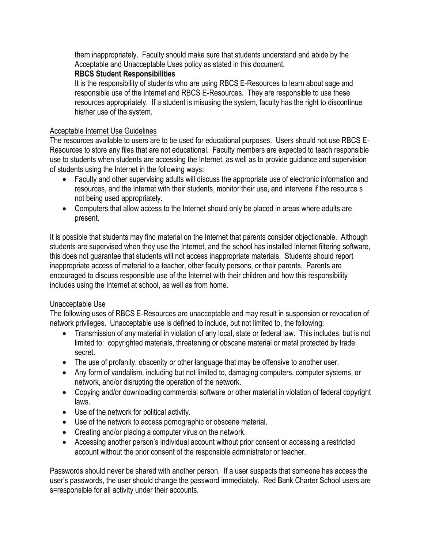them inappropriately. Faculty should make sure that students understand and abide by the Acceptable and Unacceptable Uses policy as stated in this document.

# **RBCS Student Responsibilities**

It is the responsibility of students who are using RBCS E-Resources to learn about sage and responsible use of the Internet and RBCS E-Resources. They are responsible to use these resources appropriately. If a student is misusing the system, faculty has the right to discontinue his/her use of the system.

#### Acceptable Internet Use Guidelines

The resources available to users are to be used for educational purposes. Users should not use RBCS E-Resources to store any files that are not educational. Faculty members are expected to teach responsible use to students when students are accessing the Internet, as well as to provide guidance and supervision of students using the Internet in the following ways:

- Faculty and other supervising adults will discuss the appropriate use of electronic information and resources, and the Internet with their students, monitor their use, and intervene if the resource s not being used appropriately.
- Computers that allow access to the Internet should only be placed in areas where adults are present.

It is possible that students may find material on the Internet that parents consider objectionable. Although students are supervised when they use the Internet, and the school has installed Internet filtering software, this does not guarantee that students will not access inappropriate materials. Students should report inappropriate access of material to a teacher, other faculty persons, or their parents. Parents are encouraged to discuss responsible use of the Internet with their children and how this responsibility includes using the Internet at school, as well as from home.

# Unacceptable Use

The following uses of RBCS E-Resources are unacceptable and may result in suspension or revocation of network privileges. Unacceptable use is defined to include, but not limited to, the following:

- Transmission of any material in violation of any local, state or federal law. This includes, but is not limited to: copyrighted materials, threatening or obscene material or metal protected by trade secret.
- The use of profanity, obscenity or other language that may be offensive to another user.
- Any form of vandalism, including but not limited to, damaging computers, computer systems, or network, and/or disrupting the operation of the network.
- Copying and/or downloading commercial software or other material in violation of federal copyright laws.
- Use of the network for political activity.
- Use of the network to access pornographic or obscene material.
- Creating and/or placing a computer virus on the network.
- Accessing another person's individual account without prior consent or accessing a restricted account without the prior consent of the responsible administrator or teacher.

Passwords should never be shared with another person. If a user suspects that someone has access the user's passwords, the user should change the password immediately. Red Bank Charter School users are s=responsible for all activity under their accounts.